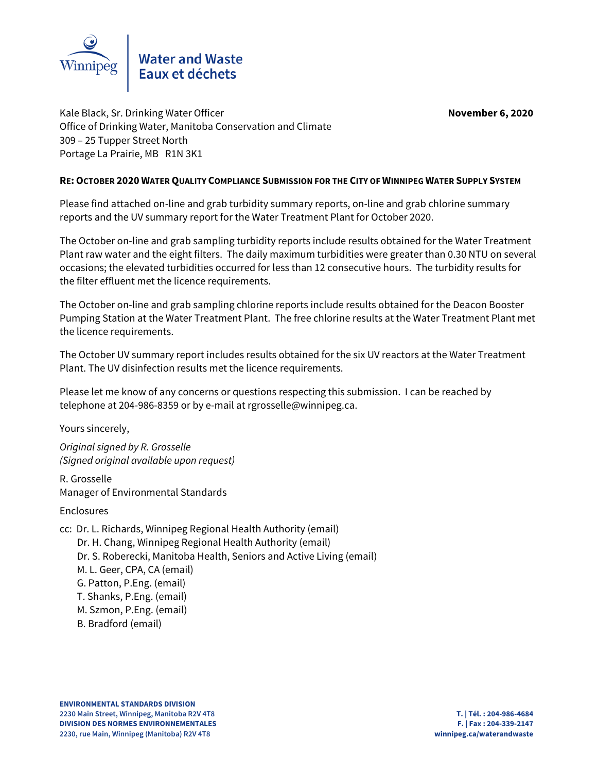

Kale Black, Sr. Drinking Water Officer **November 6, 2020** Office of Drinking Water, Manitoba Conservation and Climate 309 – 25 Tupper Street North Portage La Prairie, MB R1N 3K1

# **RE: OCTOBER 2020 WATER QUALITY COMPLIANCE SUBMISSION FOR THE CITY OF WINNIPEG WATER SUPPLY SYSTEM**

Please find attached on-line and grab turbidity summary reports, on-line and grab chlorine summary reports and the UV summary report for the Water Treatment Plant for October 2020.

The October on-line and grab sampling turbidity reports include results obtained for the Water Treatment Plant raw water and the eight filters. The daily maximum turbidities were greater than 0.30 NTU on several occasions; the elevated turbidities occurred for less than 12 consecutive hours. The turbidity results for the filter effluent met the licence requirements.

The October on-line and grab sampling chlorine reports include results obtained for the Deacon Booster Pumping Station at the Water Treatment Plant. The free chlorine results at the Water Treatment Plant met the licence requirements.

The October UV summary report includes results obtained for the six UV reactors at the Water Treatment Plant. The UV disinfection results met the licence requirements.

Please let me know of any concerns or questions respecting this submission. I can be reached by telephone at 204-986-8359 or by e-mail at rgrosselle@winnipeg.ca.

Yours sincerely,

Original signed by R. Grosselle (Signed original available upon request)

R. Grosselle Manager of Environmental Standards

Enclosures

- cc: Dr. L. Richards, Winnipeg Regional Health Authority (email) Dr. H. Chang, Winnipeg Regional Health Authority (email) Dr. S. Roberecki, Manitoba Health, Seniors and Active Living (email) M. L. Geer, CPA, CA (email) G. Patton, P.Eng. (email) T. Shanks, P.Eng. (email) M. Szmon, P.Eng. (email) B. Bradford (email)
	-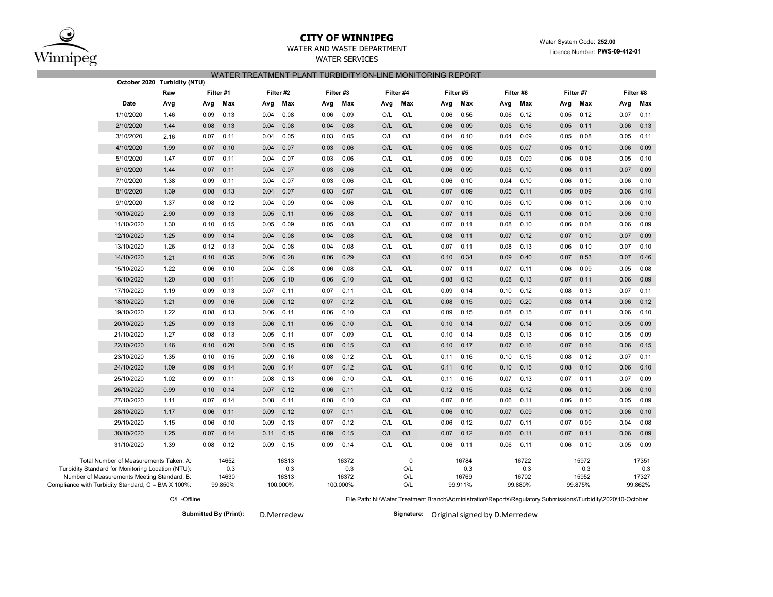

## **CITY OF WINNIPEG**

## WATER AND WASTE DEPARTMENT

WATER SERVICES

### Water System Code: **252.00** Licence Number: **PWS-09-412-01**

### WATER TREATMENT PLANT TURBIDITY ON-LINE MONITORING REPORT

|                                                                                                                                            | October 2020 Turbidity (NTU) |                       |                       |                       |                 |                       |                       |                       |                       |
|--------------------------------------------------------------------------------------------------------------------------------------------|------------------------------|-----------------------|-----------------------|-----------------------|-----------------|-----------------------|-----------------------|-----------------------|-----------------------|
|                                                                                                                                            | Raw                          | Filter #1             | Filter #2             | Filter#3              | Filter #4       | Filter #5             | Filter #6             | Filter #7             | Filter #8             |
| Date                                                                                                                                       | Avg                          | Max<br>Avg            | Max<br>Avg            | Max<br>Avg            | Max<br>Avg      | Max<br>Avg            | Max<br>Avg            | Max<br>Avg            | Max<br>Avg            |
| 1/10/2020                                                                                                                                  | 1.46                         | 0.13<br>0.09          | 0.08<br>0.04          | 0.06<br>0.09          | O/L<br>O/L      | 0.56<br>0.06          | 0.12<br>0.06          | 0.12<br>0.05          | 0.07<br>0.11          |
| 2/10/2020                                                                                                                                  | 1.44                         | 0.13<br>0.08          | 0.08<br>0.04          | 0.08<br>0.04          | O/L<br>O/L      | 0.06<br>0.09          | 0.16<br>0.05          | 0.11<br>0.05          | 0.06<br>0.13          |
| 3/10/2020                                                                                                                                  | 2.16                         | 0.11<br>0.07          | 0.04<br>0.05          | 0.03<br>0.05          | O/L<br>O/L      | 0.04<br>0.10          | 0.04<br>0.09          | 0.08<br>0.05          | 0.05<br>0.11          |
| 4/10/2020                                                                                                                                  | 1.99                         | 0.07<br>0.10          | 0.04<br>0.07          | 0.06<br>0.03          | O/L<br>O/L      | 0.05<br>0.08          | 0.07<br>0.05          | 0.10<br>0.05          | 0.06<br>0.09          |
| 5/10/2020                                                                                                                                  | 1.47                         | 0.11<br>0.07          | 0.04<br>0.07          | 0.03<br>0.06          | O/L<br>O/L      | 0.05<br>0.09          | 0.05<br>0.09          | 0.08<br>0.06          | 0.10<br>0.05          |
| 6/10/2020                                                                                                                                  | 1.44                         | 0.11<br>0.07          | 0.04<br>0.07          | 0.06<br>0.03          | O/L<br>O/L      | 0.06<br>0.09          | 0.10<br>0.05          | 0.11<br>0.06          | 0.07<br>0.09          |
| 7/10/2020                                                                                                                                  | 1.38                         | 0.11<br>0.09          | 0.04<br>0.07          | 0.03<br>0.06          | O/L<br>O/L      | 0.06<br>0.10          | 0.04<br>0.10          | 0.10<br>0.06          | 0.06<br>0.10          |
| 8/10/2020                                                                                                                                  | 1.39                         | 0.13<br>0.08          | 0.04<br>0.07          | 0.03<br>0.07          | O/L<br>O/L      | 0.07<br>0.09          | 0.11<br>0.05          | 0.09<br>0.06          | 0.06<br>0.10          |
| 9/10/2020                                                                                                                                  | 1.37                         | 0.12<br>0.08          | 0.04<br>0.09          | 0.04<br>0.06          | O/L<br>O/L      | 0.07<br>0.10          | 0.06<br>0.10          | 0.10<br>0.06          | 0.06<br>0.10          |
| 10/10/2020                                                                                                                                 | 2.90                         | 0.13<br>0.09          | 0.05<br>0.11          | 0.05<br>0.08          | O/L<br>O/L      | 0.07<br>0.11          | 0.11<br>0.06          | 0.10<br>0.06          | 0.06<br>0.10          |
| 11/10/2020                                                                                                                                 | 1.30                         | 0.15<br>0.10          | 0.05<br>0.09          | 0.05<br>0.08          | O/L<br>O/L      | 0.07<br>0.11          | 0.10<br>0.08          | 0.06<br>0.08          | 0.09<br>0.06          |
| 12/10/2020                                                                                                                                 | 1.25                         | 0.14<br>0.09          | 0.04<br>0.08          | 0.04<br>0.08          | O/L<br>O/L      | 0.08<br>0.11          | 0.12<br>0.07          | 0.10<br>0.07          | 0.07<br>0.09          |
| 13/10/2020                                                                                                                                 | 1.26                         | 0.12<br>0.13          | 0.04<br>0.08          | 0.04<br>0.08          | O/L<br>O/L      | 0.07<br>0.11          | 0.13<br>0.08          | 0.10<br>0.06          | 0.07<br>0.10          |
| 14/10/2020                                                                                                                                 | 1.21                         | 0.35<br>0.10          | 0.28<br>0.06          | 0.06<br>0.29          | O/L<br>O/L      | 0.10<br>0.34          | 0.40<br>0.09          | 0.53<br>0.07          | 0.07<br>0.46          |
| 15/10/2020                                                                                                                                 | 1.22                         | 0.06<br>0.10          | 0.04<br>0.08          | 0.06<br>0.08          | O/L<br>O/L      | 0.07<br>0.11          | 0.07<br>0.11          | 0.09<br>0.06          | 0.05<br>0.08          |
| 16/10/2020                                                                                                                                 | 1.20                         | 0.08<br>0.11          | 0.10<br>0.06          | 0.10<br>0.06          | O/L<br>O/L      | 0.08<br>0.13          | 0.08<br>0.13          | 0.11<br>0.07          | 0.06<br>0.09          |
| 17/10/2020                                                                                                                                 | 1.19                         | 0.09<br>0.13          | 0.07<br>0.11          | 0.07<br>0.11          | O/L<br>O/L      | 0.09<br>0.14          | 0.12<br>0.10          | 0.13<br>0.08          | 0.07<br>0.11          |
| 18/10/2020                                                                                                                                 | 1.21                         | 0.09<br>0.16          | 0.12<br>0.06          | 0.12<br>0.07          | O/L<br>O/L      | 0.08<br>0.15          | 0.20<br>0.09          | 0.14<br>0.08          | 0.06<br>0.12          |
| 19/10/2020                                                                                                                                 | 1.22                         | 0.08<br>0.13          | 0.06<br>0.11          | 0.06<br>0.10          | O/L<br>O/L      | 0.09<br>0.15          | 0.15<br>0.08          | 0.07<br>0.11          | 0.06<br>0.10          |
| 20/10/2020                                                                                                                                 | 1.25                         | 0.09<br>0.13          | 0.06<br>0.11          | 0.10<br>0.05          | O/L<br>O/L      | 0.10<br>0.14          | 0.07<br>0.14          | 0.10<br>0.06          | 0.09<br>0.05          |
| 21/10/2020                                                                                                                                 | 1.27                         | 0.08<br>0.13          | 0.05<br>0.11          | 0.07<br>0.09          | O/L<br>O/L      | 0.14<br>0.10          | 0.08<br>0.13          | 0.06<br>0.10          | 0.05<br>0.09          |
| 22/10/2020                                                                                                                                 | 1.46                         | 0.20<br>0.10          | 0.08<br>0.15          | 0.08<br>0.15          | O/L<br>O/L      | 0.10<br>0.17          | 0.07<br>0.16          | 0.16<br>0.07          | 0.15<br>0.06          |
| 23/10/2020                                                                                                                                 | 1.35                         | 0.15<br>0.10          | 0.09<br>0.16          | 0.08<br>0.12          | O/L<br>O/L      | 0.11<br>0.16          | 0.10<br>0.15          | 0.08<br>0.12          | 0.07<br>0.11          |
| 24/10/2020                                                                                                                                 | 1.09                         | 0.14<br>0.09          | 0.08<br>0.14          | 0.07<br>0.12          | O/L<br>O/L      | 0.11<br>0.16          | 0.15<br>0.10          | 0.10<br>0.08          | 0.10<br>0.06          |
| 25/10/2020                                                                                                                                 | 1.02                         | 0.09<br>0.11          | 0.08<br>0.13          | 0.06<br>0.10          | O/L<br>O/L      | 0.11<br>0.16          | 0.07<br>0.13          | 0.07<br>0.11          | 0.09<br>0.07          |
| 26/10/2020                                                                                                                                 | 0.99                         | 0.14<br>0.10          | 0.07<br>0.12          | 0.06<br>0.11          | O/L<br>O/L      | 0.12<br>0.15          | 0.08<br>0.12          | 0.06<br>0.10          | 0.06<br>0.10          |
| 27/10/2020                                                                                                                                 | 1.11                         | 0.07<br>0.14          | 0.08<br>0.11          | 0.08<br>0.10          | O/L<br>O/L      | 0.07<br>0.16          | 0.06<br>0.11          | 0.10<br>0.06          | 0.05<br>0.09          |
| 28/10/2020                                                                                                                                 | 1.17                         | 0.06<br>0.11          | 0.09<br>0.12          | 0.07<br>0.11          | O/L<br>O/L      | 0.06<br>0.10          | 0.07<br>0.09          | 0.06<br>0.10          | 0.06<br>0.10          |
| 29/10/2020                                                                                                                                 | 1.15                         | 0.06<br>0.10          | 0.09<br>0.13          | 0.07<br>0.12          | O/L<br>O/L      | 0.06<br>0.12          | 0.07<br>0.11          | 0.09<br>0.07          | 0.04<br>0.08          |
| 30/10/2020                                                                                                                                 | 1.25                         | 0.07<br>0.14          | 0.11<br>0.15          | 0.09<br>0.15          | O/L<br>O/L      | 0.07<br>0.12          | 0.06<br>0.11          | 0.11<br>0.07          | 0.06<br>0.09          |
| 31/10/2020                                                                                                                                 | 1.39                         | 0.08<br>0.12          | 0.09<br>0.15          | 0.09<br>0.14          | O/L<br>O/L      | 0.06<br>0.11          | 0.06<br>0.11          | 0.06<br>0.10          | 0.05<br>0.09          |
| Total Number of Measurements Taken, A:<br>Turbidity Standard for Monitoring Location (NTU):<br>Number of Measurements Meeting Standard, B: |                              | 14652<br>0.3<br>14630 | 16313<br>0.3<br>16313 | 16372<br>0.3<br>16372 | 0<br>O/L<br>O/L | 16784<br>0.3<br>16769 | 16722<br>0.3<br>16702 | 15972<br>0.3<br>15952 | 17351<br>0.3<br>17327 |
| Compliance with Turbidity Standard, C = B/A X 100%:                                                                                        | 99.850%                      | 100.000%              | 100.000%              | O/L                   | 99.911%         | 99.880%               | 99.875%               | 99.862%               |                       |

O/L -Offline

Submitted By (Print): D.Merredew **Signature:** Original signed by D.Merredew

File Path: N:\Water Treatment Branch\Administration\Reports\Regulatory Submissions\Turbidity\2020\10-October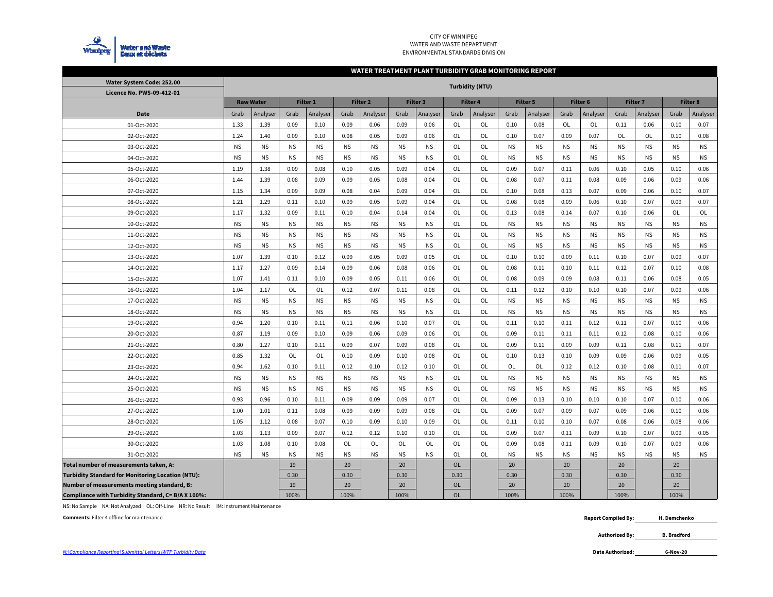

#### CITY OF WINNIPEG WATER AND WASTE DEPARTMENTENVIRONMENTAL STANDARDS DIVISION

#### **WATER TREATMENT PLANT TURBIDITY GRAB MONITORING REPORT**

| Water System Code: 252.00                                |                  |           |                 |           |           |                 |           |                 |           | <b>Turbidity (NTU)</b> |                 |           |           |           |                 |           |                 |           |
|----------------------------------------------------------|------------------|-----------|-----------------|-----------|-----------|-----------------|-----------|-----------------|-----------|------------------------|-----------------|-----------|-----------|-----------|-----------------|-----------|-----------------|-----------|
| Licence No. PWS-09-412-01                                |                  |           |                 |           |           |                 |           |                 |           |                        |                 |           |           |           |                 |           |                 |           |
|                                                          | <b>Raw Water</b> |           | <b>Filter 1</b> |           |           | <b>Filter 2</b> |           | <b>Filter 3</b> |           | Filter 4               | <b>Filter 5</b> |           | Filter 6  |           | <b>Filter 7</b> |           | <b>Filter 8</b> |           |
| Date                                                     | Grab             | Analyser  | Grab            | Analyser  | Grab      | Analyser        | Grab      | Analyser        | Grab      | Analyser               | Grab            | Analyser  | Grab      | Analyser  | Grab            | Analyser  | Grab            | Analyser  |
| 01-Oct-2020                                              | 1.33             | 1.39      | 0.09            | 0.10      | 0.09      | 0.06            | 0.09      | 0.06            | OL        | OL                     | 0.10            | 0.08      | <b>OL</b> | <b>OL</b> | 0.11            | 0.06      | 0.10            | 0.07      |
| 02-Oct-2020                                              | 1.24             | 1.40      | 0.09            | 0.10      | 0.08      | 0.05            | 0.09      | 0.06            | OL        | OL                     | 0.10            | 0.07      | 0.09      | 0.07      | OL              | OL        | 0.10            | 0.08      |
| 03-Oct-2020                                              | <b>NS</b>        | <b>NS</b> | <b>NS</b>       | <b>NS</b> | <b>NS</b> | <b>NS</b>       | <b>NS</b> | <b>NS</b>       | <b>OL</b> | <b>OL</b>              | <b>NS</b>       | <b>NS</b> | <b>NS</b> | <b>NS</b> | <b>NS</b>       | <b>NS</b> | <b>NS</b>       | <b>NS</b> |
| 04-Oct-2020                                              | <b>NS</b>        | <b>NS</b> | <b>NS</b>       | <b>NS</b> | <b>NS</b> | <b>NS</b>       | <b>NS</b> | <b>NS</b>       | <b>OL</b> | OL                     | <b>NS</b>       | <b>NS</b> | <b>NS</b> | <b>NS</b> | <b>NS</b>       | <b>NS</b> | <b>NS</b>       | <b>NS</b> |
| 05-Oct-2020                                              | 1.19             | 1.38      | 0.09            | 0.08      | 0.10      | 0.05            | 0.09      | 0.04            | <b>OL</b> | OL                     | 0.09            | 0.07      | 0.11      | 0.06      | 0.10            | 0.05      | 0.10            | 0.06      |
| 06-Oct-2020                                              | 1.44             | 1.39      | 0.08            | 0.09      | 0.09      | 0.05            | 0.08      | 0.04            | OL        | OL                     | 0.08            | 0.07      | 0.11      | 0.08      | 0.09            | 0.06      | 0.09            | 0.06      |
| 07-Oct-2020                                              | 1.15             | 1.34      | 0.09            | 0.09      | 0.08      | 0.04            | 0.09      | 0.04            | OL        | OL                     | 0.10            | 0.08      | 0.13      | 0.07      | 0.09            | 0.06      | 0.10            | 0.07      |
| 08-Oct-2020                                              | 1.21             | 1.29      | 0.11            | 0.10      | 0.09      | 0.05            | 0.09      | 0.04            | <b>OL</b> | OL                     | 0.08            | 0.08      | 0.09      | 0.06      | 0.10            | 0.07      | 0.09            | 0.07      |
| 09-Oct-2020                                              | 1.17             | 1.32      | 0.09            | 0.11      | 0.10      | 0.04            | 0.14      | 0.04            | OL        | OL                     | 0.13            | 0.08      | 0.14      | 0.07      | 0.10            | 0.06      | <b>OL</b>       | OL        |
| 10-Oct-2020                                              | <b>NS</b>        | <b>NS</b> | NS.             | <b>NS</b> | <b>NS</b> | <b>NS</b>       | <b>NS</b> | <b>NS</b>       | OL        | OL                     | <b>NS</b>       | <b>NS</b> | <b>NS</b> | <b>NS</b> | <b>NS</b>       | <b>NS</b> | <b>NS</b>       | <b>NS</b> |
| 11-Oct-2020                                              | <b>NS</b>        | <b>NS</b> | NS.             | <b>NS</b> | <b>NS</b> | <b>NS</b>       | <b>NS</b> | <b>NS</b>       | OL        | OL                     | <b>NS</b>       | <b>NS</b> | <b>NS</b> | <b>NS</b> | <b>NS</b>       | <b>NS</b> | <b>NS</b>       | <b>NS</b> |
| 12-Oct-2020                                              | <b>NS</b>        | <b>NS</b> | <b>NS</b>       | <b>NS</b> | <b>NS</b> | <b>NS</b>       | <b>NS</b> | <b>NS</b>       | OL        | OL                     | <b>NS</b>       | <b>NS</b> | <b>NS</b> | <b>NS</b> | <b>NS</b>       | <b>NS</b> | <b>NS</b>       | <b>NS</b> |
| 13-Oct-2020                                              | 1.07             | 1.39      | 0.10            | 0.12      | 0.09      | 0.05            | 0.09      | 0.05            | OL        | OL                     | 0.10            | 0.10      | 0.09      | 0.11      | 0.10            | 0.07      | 0.09            | 0.07      |
| 14-Oct-2020                                              | 1.17             | 1.27      | 0.09            | 0.14      | 0.09      | 0.06            | 0.08      | 0.06            | OL        | OL                     | 0.08            | 0.11      | 0.10      | 0.11      | 0.12            | 0.07      | 0.10            | 0.08      |
| 15-Oct-2020                                              | 1.07             | 1.41      | 0.11            | 0.10      | 0.09      | 0.05            | 0.11      | 0.06            | OL        | OL                     | 0.08            | 0.09      | 0.09      | 0.08      | 0.11            | 0.06      | 0.08            | 0.05      |
| 16-Oct-2020                                              | 1.04             | 1.17      | OL              | OL        | 0.12      | 0.07            | 0.11      | 0.08            | OL        | OL                     | 0.11            | 0.12      | 0.10      | 0.10      | 0.10            | 0.07      | 0.09            | 0.06      |
| 17-Oct-2020                                              | <b>NS</b>        | <b>NS</b> | <b>NS</b>       | <b>NS</b> | <b>NS</b> | <b>NS</b>       | <b>NS</b> | <b>NS</b>       | OL        | OL                     | <b>NS</b>       | <b>NS</b> | <b>NS</b> | <b>NS</b> | <b>NS</b>       | <b>NS</b> | <b>NS</b>       | <b>NS</b> |
| 18-Oct-2020                                              | <b>NS</b>        | <b>NS</b> | <b>NS</b>       | <b>NS</b> | <b>NS</b> | <b>NS</b>       | <b>NS</b> | <b>NS</b>       | OL        | OL                     | <b>NS</b>       | <b>NS</b> | <b>NS</b> | <b>NS</b> | <b>NS</b>       | <b>NS</b> | <b>NS</b>       | <b>NS</b> |
| 19-Oct-2020                                              | 0.94             | 1.20      | 0.10            | 0.11      | 0.11      | 0.06            | 0.10      | 0.07            | OL        | OL                     | 0.11            | 0.10      | 0.11      | 0.12      | 0.11            | 0.07      | 0.10            | 0.06      |
| 20-Oct-2020                                              | 0.87             | 1.19      | 0.09            | 0.10      | 0.09      | 0.06            | 0.09      | 0.06            | OL        | OL                     | 0.09            | 0.11      | 0.11      | 0.11      | 0.12            | 0.08      | 0.10            | 0.06      |
| 21-Oct-2020                                              | 0.80             | 1.27      | 0.10            | 0.11      | 0.09      | 0.07            | 0.09      | 0.08            | <b>OL</b> | OL                     | 0.09            | 0.11      | 0.09      | 0.09      | 0.11            | 0.08      | 0.11            | 0.07      |
| 22-Oct-2020                                              | 0.85             | 1.32      | OL              | OL        | 0.10      | 0.09            | 0.10      | 0.08            | <b>OL</b> | OL                     | 0.10            | 0.13      | 0.10      | 0.09      | 0.09            | 0.06      | 0.09            | 0.05      |
| 23-Oct-2020                                              | 0.94             | 1.62      | 0.10            | 0.11      | 0.12      | 0.10            | 0.12      | 0.10            | OL        | OL                     | OL              | OL        | 0.12      | 0.12      | 0.10            | 0.08      | 0.11            | 0.07      |
| 24-Oct-2020                                              | <b>NS</b>        | <b>NS</b> | <b>NS</b>       | <b>NS</b> | <b>NS</b> | <b>NS</b>       | <b>NS</b> | <b>NS</b>       | OL        | OL                     | <b>NS</b>       | <b>NS</b> | <b>NS</b> | <b>NS</b> | <b>NS</b>       | <b>NS</b> | <b>NS</b>       | <b>NS</b> |
| 25-Oct-2020                                              | <b>NS</b>        | <b>NS</b> | <b>NS</b>       | <b>NS</b> | <b>NS</b> | <b>NS</b>       | <b>NS</b> | <b>NS</b>       | OL        | OL                     | <b>NS</b>       | <b>NS</b> | <b>NS</b> | <b>NS</b> | <b>NS</b>       | <b>NS</b> | <b>NS</b>       | <b>NS</b> |
| 26-Oct-2020                                              | 0.93             | 0.96      | 0.10            | 0.11      | 0.09      | 0.09            | 0.09      | 0.07            | OL        | OL                     | 0.09            | 0.13      | 0.10      | 0.10      | 0.10            | 0.07      | 0.10            | 0.06      |
| 27-Oct-2020                                              | 1.00             | 1.01      | 0.11            | 0.08      | 0.09      | 0.09            | 0.09      | 0.08            | OL        | OL                     | 0.09            | 0.07      | 0.09      | 0.07      | 0.09            | 0.06      | 0.10            | 0.06      |
| 28-Oct-2020                                              | 1.05             | 1.12      | 0.08            | 0.07      | 0.10      | 0.09            | 0.10      | 0.09            | OL        | OL                     | 0.11            | 0.10      | 0.10      | 0.07      | 0.08            | 0.06      | 0.08            | 0.06      |
| 29-Oct-2020                                              | 1.03             | 1.13      | 0.09            | 0.07      | 0.12      | 0.12            | 0.10      | 0.10            | OL        | OL                     | 0.09            | 0.07      | 0.11      | 0.09      | 0.10            | 0.07      | 0.09            | 0.05      |
| 30-Oct-2020                                              | 1.03             | 1.08      | 0.10            | 0.08      | OL        | OL              | OL        | OL              | OL        | OL                     | 0.09            | 0.08      | 0.11      | 0.09      | 0.10            | 0.07      | 0.09            | 0.06      |
| 31-Oct-2020                                              | <b>NS</b>        | <b>NS</b> | <b>NS</b>       | <b>NS</b> | <b>NS</b> | <b>NS</b>       | <b>NS</b> | <b>NS</b>       | <b>OL</b> | <b>OL</b>              | <b>NS</b>       | <b>NS</b> | <b>NS</b> | <b>NS</b> | <b>NS</b>       | <b>NS</b> | <b>NS</b>       | <b>NS</b> |
| Total number of measurements taken, A:                   |                  |           | 19              |           | 20        |                 | 20        |                 | <b>OL</b> |                        | 20              |           | 20        |           | 20              |           | 20              |           |
| <b>Turbidity Standard for Monitoring Location (NTU):</b> |                  |           | 0.30            |           | 0.30      |                 | 0.30      |                 | 0.30      |                        | 0.30            |           | 0.30      |           | 0.30            |           | 0.30            |           |
| Number of measurements meeting standard, B:              |                  |           | 19              |           | 20        |                 | 20        |                 | <b>OL</b> |                        | 20              |           | 20        |           | 20              |           | 20              |           |
| Compliance with Turbidity Standard, C= B/A X 100%:       |                  |           | 100%            |           | 100%      |                 | 100%      |                 | <b>OL</b> |                        | 100%            |           | 100%      |           | 100%            |           | 100%            |           |

NS: No Sample NA: Not Analyzed OL: Off-Line NR: No Result IM: Instrument Maintenance

**Comments:** Filter 4 offline for maintenance

 **Report Compiled By: H. Demchenko**

> **Authorized By: B. Bradford**

**6-Nov-20**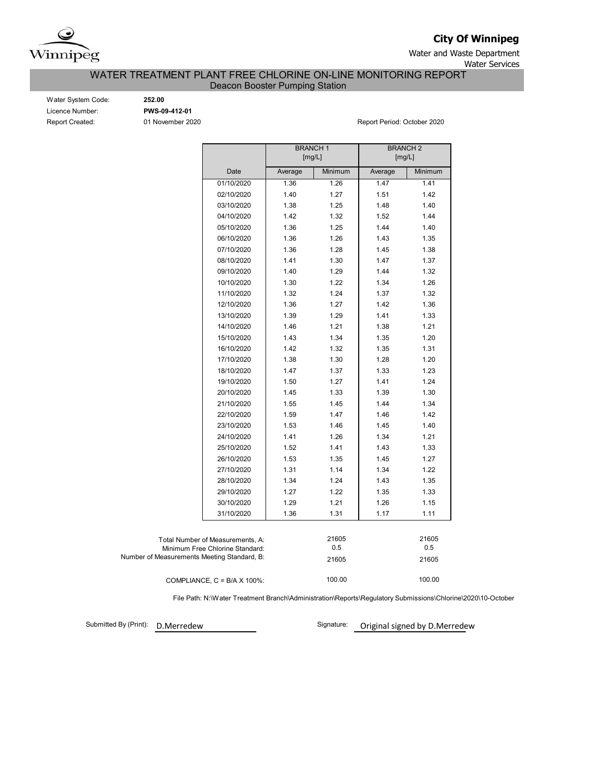

**City Of Winnipeg**

Water and Waste Department

Water Services

## WATER TREATMENT PLANT FREE CHLORINE ON-LINE MONITORING REPORT Deacon Booster Pumping Station

Water System Code: **252.00** Licence Number: **PWS-09-412-01**

Report Created: 01 November 2020 Report Period: October 2020

|                                             |            | <b>BRANCH1</b><br>[mg/L] |         | <b>BRANCH2</b><br>[mg/L] |         |  |  |  |  |
|---------------------------------------------|------------|--------------------------|---------|--------------------------|---------|--|--|--|--|
|                                             |            |                          |         |                          |         |  |  |  |  |
|                                             | Date       | Average                  | Minimum | Average                  | Minimum |  |  |  |  |
|                                             | 01/10/2020 | 1.36                     | 1.26    | 1.47                     | 1.41    |  |  |  |  |
|                                             | 02/10/2020 | 1.40                     | 1.27    | 1.51                     | 1.42    |  |  |  |  |
|                                             | 03/10/2020 | 1.38                     | 1.25    | 1.48                     | 1.40    |  |  |  |  |
|                                             | 04/10/2020 | 1.42                     | 1.32    | 1.52                     | 1.44    |  |  |  |  |
|                                             | 05/10/2020 | 1.36                     | 1.25    | 1.44                     | 1.40    |  |  |  |  |
|                                             | 06/10/2020 | 1.36                     | 1.26    | 1.43                     | 1.35    |  |  |  |  |
|                                             | 07/10/2020 | 1.36                     | 1.28    | 1.45                     | 1.38    |  |  |  |  |
|                                             | 08/10/2020 | 1.41                     | 1.30    | 1.47                     | 1.37    |  |  |  |  |
|                                             | 09/10/2020 | 1.40                     | 1.29    | 1.44                     | 1.32    |  |  |  |  |
|                                             | 10/10/2020 | 1.30                     | 1.22    | 1.34                     | 1.26    |  |  |  |  |
|                                             | 11/10/2020 | 1.32                     | 1.24    | 1.37                     | 1.32    |  |  |  |  |
|                                             | 12/10/2020 | 1.36                     | 1.27    | 1.42                     | 1.36    |  |  |  |  |
|                                             | 13/10/2020 | 1.39                     | 1.29    | 1.41                     | 1.33    |  |  |  |  |
|                                             | 14/10/2020 | 1.46                     | 1.21    | 1.38                     | 1.21    |  |  |  |  |
|                                             | 15/10/2020 | 1.43                     | 1.34    | 1.35                     | 1.20    |  |  |  |  |
|                                             | 16/10/2020 | 1.42                     | 1.32    | 1.35                     | 1.31    |  |  |  |  |
|                                             | 17/10/2020 | 1.38                     | 1.30    | 1.28                     | 1.20    |  |  |  |  |
|                                             | 18/10/2020 | 1.47                     | 1.37    | 1.33                     | 1.23    |  |  |  |  |
|                                             | 19/10/2020 | 1.50                     | 1.27    | 1.41                     | 1.24    |  |  |  |  |
|                                             | 20/10/2020 | 1.45                     | 1.33    | 1.39                     | 1.30    |  |  |  |  |
|                                             | 21/10/2020 | 1.55                     | 1.45    | 1.44                     | 1.34    |  |  |  |  |
|                                             | 22/10/2020 | 1.59                     | 1.47    | 1.46                     | 1.42    |  |  |  |  |
|                                             | 23/10/2020 | 1.53                     | 1.46    | 1.45                     | 1.40    |  |  |  |  |
|                                             | 24/10/2020 | 1.41                     | 1.26    | 1.34                     | 1.21    |  |  |  |  |
|                                             | 25/10/2020 | 1.52                     | 1.41    | 1.43                     | 1.33    |  |  |  |  |
|                                             | 26/10/2020 | 1.53                     | 1.35    | 1.45                     | 1.27    |  |  |  |  |
|                                             | 27/10/2020 | 1.31                     | 1.14    | 1.34                     | 1.22    |  |  |  |  |
|                                             | 28/10/2020 | 1.34                     | 1.24    | 1.43                     | 1.35    |  |  |  |  |
|                                             | 29/10/2020 | 1.27                     | 1.22    | 1.35                     | 1.33    |  |  |  |  |
|                                             | 30/10/2020 | 1.29                     | 1.21    | 1.26                     | 1.15    |  |  |  |  |
|                                             | 31/10/2020 | 1.36                     | 1.31    | 1.17                     | 1.11    |  |  |  |  |
|                                             |            |                          |         |                          |         |  |  |  |  |
| Total Number of Measurements, A:            |            |                          | 21605   |                          | 21605   |  |  |  |  |
| Minimum Free Chlorine Standard:             |            |                          | 0.5     |                          | 0.5     |  |  |  |  |
| Number of Measurements Meeting Standard, B: |            |                          | 21605   |                          | 21605   |  |  |  |  |
| COMPLIANCE, $C = B/A \times 100\%$ :        |            |                          | 100.00  |                          | 100.00  |  |  |  |  |

File Path: N:\Water Treatment Branch\Administration\Reports\Regulatory Submissions\Chlorine\2020\10-October

Submitted By (Print):

D.Merredew Signature: Original signed by D.Merredew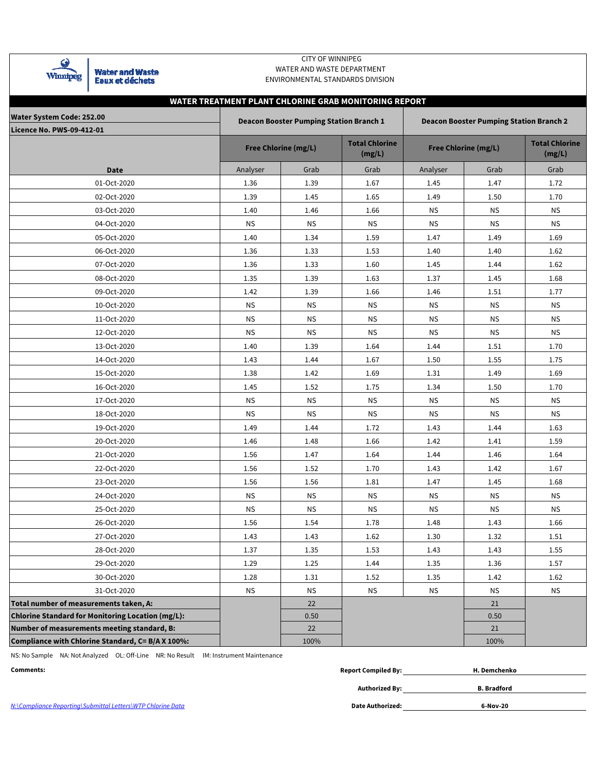| mm |
|----|

**Water and Waste** Eaux et déchets

## CITY OF WINNIPEG WATER AND WASTE DEPARTMENT ENVIRONMENTAL STANDARDS DIVISION

# **Licence No. PWS-09-412-01 Total Chlorine (mg/L) Total Chlorine (mg/L)** Analyser | Grab | Grab | Analyser | Grab | Grab 01-Oct-2020 1.36 1.39 1.67 1.45 1.47 1.72 02-Oct-2020 1.39 1.45 1.65 1.49 1.50 1.70 03-Oct-2020 1.40 1.46 1.66 NS NS NS 04-Oct-2020 NS NS NS NS NS NS 05-Oct-2020 1.40 1.34 1.59 1.47 1.49 1.69 06-Oct-2020 1.36 1.33 1.53 1.40 1.40 1.62 07-Oct-2020 1.36 1.33 1.60 1.45 1.44 1.62 08-Oct-2020 1.35 1.39 1.63 1.37 1.45 1.68 09-Oct-2020 1.42 1.39 1.66 1.46 1.51 1.77 10-Oct-2020 NS NS NS NS NS NS 11-Oct-2020 NS NS NS NS NS NS 12-Oct-2020 NS NS NS NS NS NS 13-Oct-2020 1.40 1.39 1.64 1.44 1.51 1.70 14-Oct-2020 1.43 1.44 1.67 1.50 1.55 1.75 15-Oct-2020 1.38 1.42 1.69 1.31 1.49 1.69 16-Oct-2020 1.45 1.52 1.75 1.34 1.50 1.70 17-Oct-2020 NS NS NS NS NS NS 18-Oct-2020 NS NS NS NS NS NS 19-Oct-2020 1.49 1.44 1.72 1.43 1.44 1.63 20-Oct-2020 1.46 1.48 1.66 1.42 1.41 1.59 21-Oct-2020 1.56 1.47 1.64 1.44 1.46 1.64 22-Oct-2020 1.56 1.52 1.70 1.43 1.42 1.67 23-Oct-2020 1.56 1.56 1.81 1.47 1.45 1.68 24-Oct-2020 NS NS NS NS NS NS 25-Oct-2020 NS NS NS NS NS NS 26-Oct-2020 1.56 1.54 1.78 1.48 1.43 1.66 27-Oct-2020 1.43 1.43 1.43 1.62 1.30 1.32 1.51 28-Oct-2020 1.37 1.35 1.53 1.43 1.43 1.55 29-Oct-2020 1.29 1.25 1.44 1.35 1.36 1.57 30-Oct-2020 1.28 1.31 1.52 1.35 1.42 1.62 31-Oct-2020 NS NS NS NS NS NS **Total number of measurements taken, A:** 22 21 **Chlorine Standard for Monitoring Location (mg/L):** 0.50 0.50 **Number of measurements meeting standard, B:** 22 21 **Compliance with Chlorine Standard, C= B/A X 100%:** 100% 100% **WATER TREATMENT PLANT CHLORINE GRAB MONITORING REPORT Water System Code: 252.00 Deacon Booster Pumping Station Branch 1 Deacon Booster Pumping Station Branch 2** Free Chlorine (mg/L) **Free Chloring** Free Chlorine (mg/L) **Date**

NS: No Sample NA: Not Analyzed OL: Off-Line NR: No Result IM: Instrument Maintenance

| Comments:                                                   | <b>Report Compiled By:</b> | H. Demchenko       |  |  |  |  |
|-------------------------------------------------------------|----------------------------|--------------------|--|--|--|--|
|                                                             | Authorized By:             | <b>B.</b> Bradford |  |  |  |  |
| N:\Compliance Reporting\Submittal Letters\WTP Chlorine Data | <b>Date Authorized:</b>    | 6-Nov-20           |  |  |  |  |